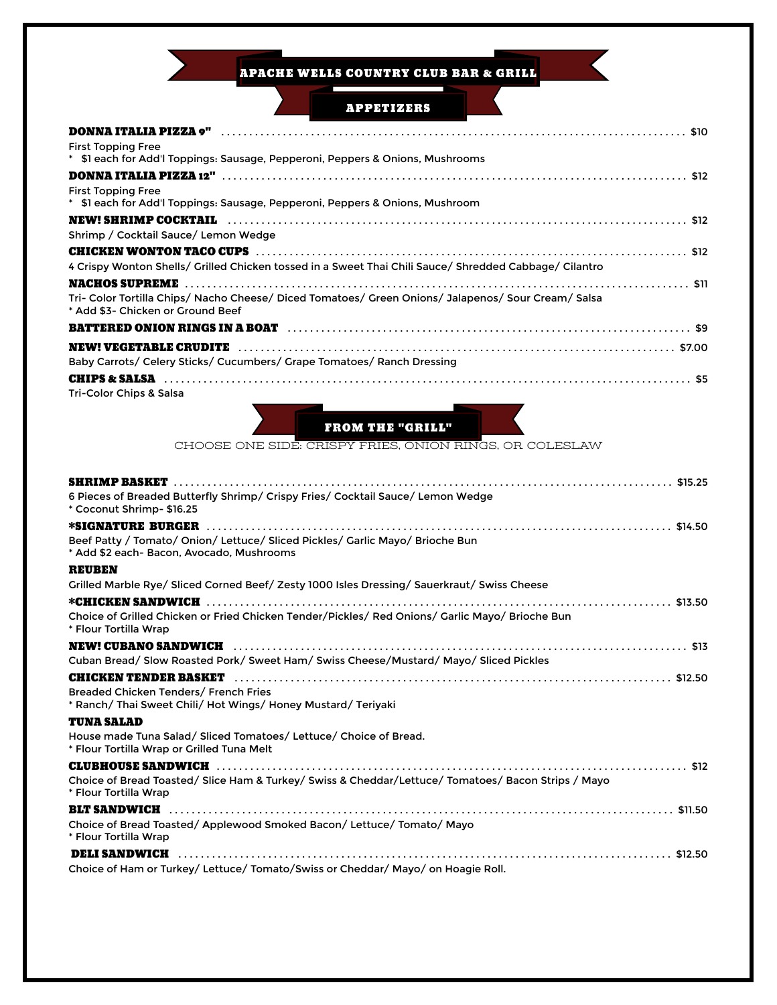**APACHE WELLS COUNTRY CLUB BAR & GRILL** 

 $\leq$ 

| <b>APPETIZERS</b>                                                                                                                        |
|------------------------------------------------------------------------------------------------------------------------------------------|
| DONNA ITALIA PIZZA 9"                                                                                                                    |
| <b>First Topping Free</b>                                                                                                                |
| * \$1 each for Add'l Toppings: Sausage, Pepperoni, Peppers & Onions, Mushrooms                                                           |
|                                                                                                                                          |
| <b>First Topping Free</b><br>* \$1 each for Add'l Toppings: Sausage, Pepperoni, Peppers & Onions, Mushroom                               |
| <b>NEW! SHRIMP COCKTAIL</b>                                                                                                              |
| Shrimp / Cocktail Sauce/ Lemon Wedge                                                                                                     |
| 4 Crispy Wonton Shells/ Grilled Chicken tossed in a Sweet Thai Chili Sauce/ Shredded Cabbage/ Cilantro                                   |
| Tri- Color Tortilla Chips/ Nacho Cheese/ Diced Tomatoes/ Green Onions/ Jalapenos/ Sour Cream/ Salsa<br>* Add \$3- Chicken or Ground Beef |
| <b>BATTERED ONION RINGS IN A BOAT</b> National Construction of the set of the set of set of the set of set of the set o                  |
|                                                                                                                                          |
| Baby Carrots/ Celery Sticks/ Cucumbers/ Grape Tomatoes/ Ranch Dressing                                                                   |
|                                                                                                                                          |
| Tri-Color Chips & Salsa<br><b>FROM THE "GRILL"</b><br>CHOOSE ONE SIDE: CRISPY FRIES, ONION RINGS, OR COLESLAW                            |
| <b>SHRIMP BASKET</b><br>6 Pieces of Breaded Butterfly Shrimp/ Crispy Fries/ Cocktail Sauce/ Lemon Wedge<br>* Coconut Shrimp- \$16.25     |
| <b>*SIGNATURE BURGER</b>                                                                                                                 |
| Beef Patty / Tomato/ Onion/ Lettuce/ Sliced Pickles/ Garlic Mayo/ Brioche Bun<br>* Add \$2 each- Bacon, Avocado, Mushrooms               |
| <b>REUBEN</b>                                                                                                                            |
| Grilled Marble Rye/ Sliced Corned Beef/ Zesty 1000 Isles Dressing/ Sauerkraut/ Swiss Cheese                                              |
| *CHICKEN SANDWICH<br>. \$13.50                                                                                                           |
| Choice of Grilled Chicken or Fried Chicken Tender/Pickles/ Red Onions/ Garlic Mayo/ Brioche Bun<br>* Flour Tortilla Wrap                 |
| <b>NEW! CUBANO SANDWICH</b>                                                                                                              |
| Cuban Bread/ Slow Roasted Pork/ Sweet Ham/ Swiss Cheese/Mustard/ Mayo/ Sliced Pickles                                                    |
|                                                                                                                                          |
| Breaded Chicken Tenders/ French Fries<br>* Ranch/ Thai Sweet Chili/ Hot Wings/ Honey Mustard/ Teriyaki                                   |
| TUNA SALAD                                                                                                                               |
| House made Tuna Salad/ Sliced Tomatoes/ Lettuce/ Choice of Bread.<br>* Flour Tortilla Wrap or Grilled Tuna Melt                          |
| CLUBHOUSE SANDWICH And Married Construction (State of the State of State of State of State of State of State o                           |
| Choice of Bread Toasted/ Slice Ham & Turkey/ Swiss & Cheddar/Lettuce/ Tomatoes/ Bacon Strips / Mayo<br>* Flour Tortilla Wrap             |
| <b>BLT SANDWICH</b>                                                                                                                      |
| Choice of Bread Toasted/ Applewood Smoked Bacon/ Lettuce/ Tomato/ Mayo<br>* Flour Tortilla Wrap                                          |
| <b>DELI SANDWICH</b><br>Choice of Ham or Turkey/ Lettuce/ Tomato/Swiss or Cheddar/ Mayo/ on Hoagie Roll.                                 |